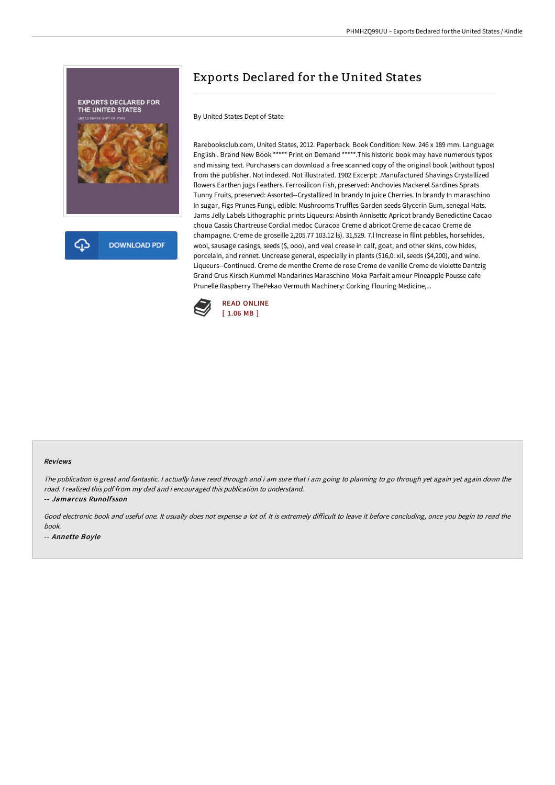

# Exports Declared for the United States

By United States Dept of State

Rarebooksclub.com, United States, 2012. Paperback. Book Condition: New. 246 x 189 mm. Language: English . Brand New Book \*\*\*\*\* Print on Demand \*\*\*\*\*.This historic book may have numerous typos and missing text. Purchasers can download a free scanned copy of the original book (without typos) from the publisher. Not indexed. Not illustrated. 1902 Excerpt: .Manufactured Shavings Crystallized flowers Earthen jugs Feathers. Ferrosilicon Fish, preserved: Anchovies Mackerel Sardines Sprats Tunny Fruits, preserved: Assorted--Crystallized In brandy In juice Cherries. In brandy In maraschino In sugar, Figs Prunes Fungi, edible: Mushrooms Truffles Garden seeds Glycerin Gum, senegal Hats. Jams Jelly Labels Lithographic prints Liqueurs: Absinth Annisettc Apricot brandy Benedictine Cacao choua Cassis Chartreuse Cordial medoc Curacoa Creme d abricot Creme de cacao Creme de champagne. Creme de groseille 2,205.77 103.12 ls). 31,529. 7.l Increase in flint pebbles, horsehides, wool, sausage casings, seeds (\$, ooo), and veal crease in calf, goat, and other skins, cow hides, porcelain, and rennet. Uncrease general, especially in plants (\$16,0: xil, seeds (\$4,200), and wine. Liqueurs--Continued. Creme de menthe Creme de rose Creme de vanille Creme de violette Dantzig Grand Crus Kirsch Kummel Mandarines Maraschino Moka Parfait amour Pineapple Pousse cafe Prunelle Raspberry ThePekao Vermuth Machinery: Corking Flouring Medicine,...



#### Reviews

The publication is great and fantastic. <sup>I</sup> actually have read through and i am sure that i am going to planning to go through yet again yet again down the road. <sup>I</sup> realized this pdf from my dad and i encouraged this publication to understand.

-- Jamarcus Runolfsson

Good electronic book and useful one. It usually does not expense a lot of. It is extremely difficult to leave it before concluding, once you begin to read the book.

-- Annette Boyle